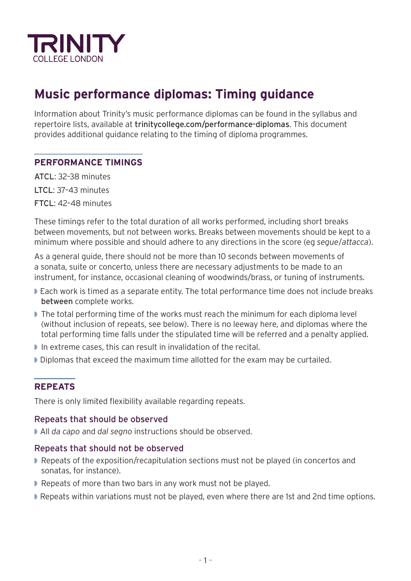

# **Music performance diplomas: Timing guidance**

Information about Trinity's music performance diplomas can be found in the syllabus and repertoire lists, available at [trinitycollege.com/performance-diplomas](http://trinitycollege.com/performance-diplomas). This document provides additional guidance relating to the timing of diploma programmes.

# **PERFORMANCE TIMINGS**

ATCL: 32–38 minutes LTCL: 37–43 minutes FTCL: 42–48 minutes

These timings refer to the total duration of all works performed, including short breaks between movements, but not between works. Breaks between movements should be kept to a minimum where possible and should adhere to any directions in the score (eg *segue*/*attacca*).

As a general guide, there should not be more than 10 seconds between movements of a sonata, suite or concerto, unless there are necessary adjustments to be made to an instrument, for instance, occasional cleaning of woodwinds/brass, or tuning of instruments.

- Each work is timed as a separate entity. The total performance time does not include breaks between complete works.
- The total performing time of the works must reach the minimum for each diploma level (without inclusion of repeats, see below). There is no leeway here, and diplomas where the total performing time falls under the stipulated time will be referred and a penalty applied.
- In extreme cases, this can result in invalidation of the recital.
- Diplomas that exceed the maximum time allotted for the exam may be curtailed.

# **REPEATS**

There is only limited flexibility available regarding repeats.

#### Repeats that should be observed

◗ All *da capo* and *dal segno* instructions should be observed.

#### Repeats that should not be observed

- Repeats of the exposition/recapitulation sections must not be played (in concertos and sonatas, for instance).
- Repeats of more than two bars in any work must not be played.
- Repeats within variations must not be played, even where there are 1st and 2nd time options.